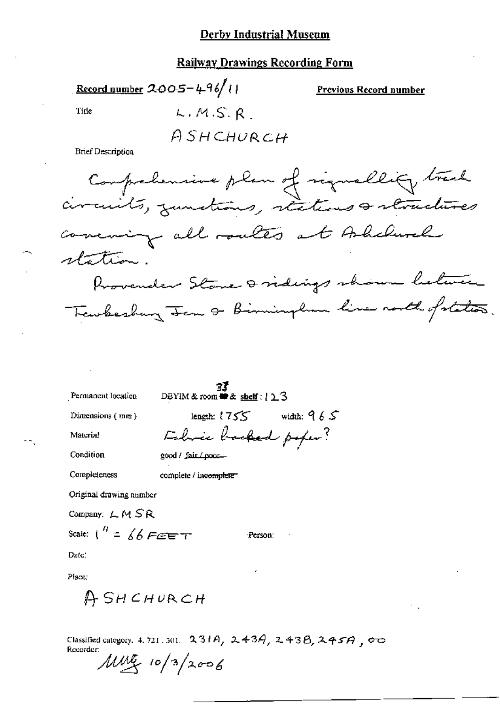### **Railway Drawings Recording Form**

Record number 2005-4-96/11

Previous Record number

Title

 $L, M, S, R$ ASHCHURCH

**Brief Description** 

Comprehensive plan of signallity track circuits, zunctions, rections a structures comening all routes at Ashelurely station. Provender Stone Dridings shown between Tembeshing Jem & Birminglion line north of states.

Permanent location

 $\frac{37}{25}$ <br>DBYIM & room  $\cong$  & shelf : {  $\geq$  3

Dimensions (mm)

Material

Condition

length:  $1755$  width:  $965$ Fabric backed poper? good / fair / poor-

Completeness

complete / incomplete

Original drawing number

Company: LMSR

Scale:  $\int_0^R = \oint \oint F d\vec{r}$ 

Person:

Date:

Place:

ASHCHURCH

Classified category, 4, 721, 301, 231A, 243A, 243B, 245A, 00 Recorder:

 $\mu w$  10/3/2006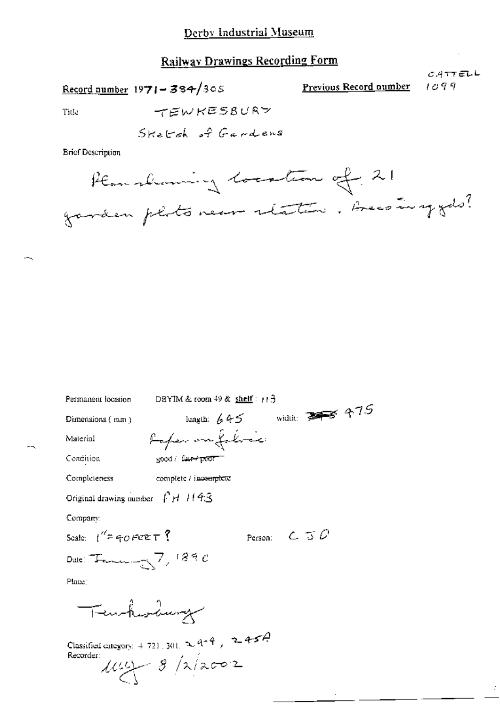# **Railway Drawings Recording Form**

Record number  $1971 - 384/305$ 

Previous Record number

 $CATTEUL$  $1099$ 

ż

Title

**Brief Description** 

| DBYIM & coom 49 & shelf:11 3<br>Permanent location                                                                      |
|-------------------------------------------------------------------------------------------------------------------------|
| lengib: 445<br>Dimensions $(mn)$                                                                                        |
| Rafer on folice<br>Material                                                                                             |
| Condition<br>good / fair + poor                                                                                         |
| Completeness<br>complete / incomplete                                                                                   |
| Original drawing number $\int H/I/4S$                                                                                   |
| Company:                                                                                                                |
| Person: $C \supset C$<br>Scale: $\int_{0}^{\infty} f(x) \, dx \in T$ ?                                                  |
| Date: $T_{\text{average}}$ 7, 1890                                                                                      |
| Place:                                                                                                                  |
| Temhesdag                                                                                                               |
| Classified category: $4.721 \cdot 301$ . $\approx 9^{-4}$ , $\approx 4.57$ .<br>Recorder:<br>$\mu$ uy $\approx$ /2/2002 |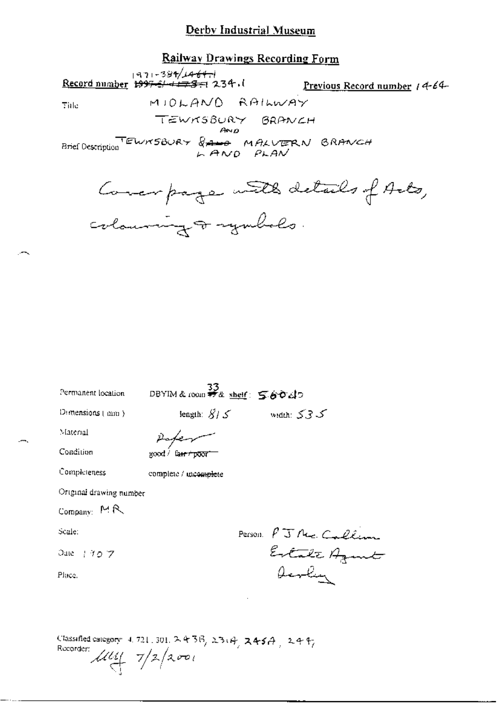## Railway Drawings Recording Form

971-384/ابرام (143-1971)<br>Record number 1997-5/1423-7 234. Previous Record number 14-64-MIOLANO RAILWAY Title TEWNSBURY BRANCH  $A \vee D$ Brief Description ELWRSBURY & AND PLAN BRANCH Coverpage with details of Arts, colourning & symbols.

| Permanent location      | 33<br>DBYIM&room # a shelf: 56040         |                      |
|-------------------------|-------------------------------------------|----------------------|
| Demensions (mm)         | length: $\widetilde{S}$ / $\widetilde{S}$ | ک3کک widuli: گ       |
| Material                |                                           |                      |
| Condition               | good / fa <del>ir / poor</del>            |                      |
| Completeness            | complete / incomplete                     |                      |
| Original drawing number |                                           |                      |
| Company: MR             |                                           |                      |
| Scale:                  |                                           |                      |
| Date: 1 9 0 7           |                                           | Person PJ Me Callinn |
| Place.                  |                                           |                      |
|                         |                                           |                      |
|                         |                                           |                      |

Classified category: 4, 721, 301, 2 4 3 6, 23(4, 245A, 244, Recorder:  $\mu v_1 = \frac{7}{2} \sqrt{200}$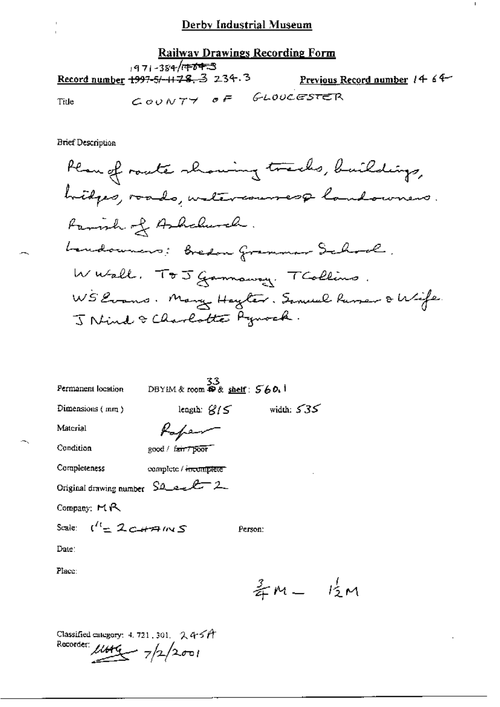$\mathbf{I}$ 

## Railway Drawings Recording Form

 $971 - 384/\sqrt{723}$ <br>Record number 1997-5/-1178. 3 234.3 Previous Record number 14 64 COUNTY OF GLOUCESTER Title

**Brief Description** 

| Permanent location                      | 33<br>DBYIM & room <b>P</b> & shelf: 560.1 |              |  |  |  |  |
|-----------------------------------------|--------------------------------------------|--------------|--|--|--|--|
| Dimensions (mm)                         | length: $\mathcal{G}/\mathcal{S}$          | width: $535$ |  |  |  |  |
| Material                                | Kafem                                      |              |  |  |  |  |
| Condition                               | good / fair / poor                         |              |  |  |  |  |
| Completeness                            | complete / incomplete                      |              |  |  |  |  |
| Original drawing number SQ ext 2        |                                            |              |  |  |  |  |
| Company: $M_{\rm H}$                    |                                            |              |  |  |  |  |
| Scale: $\mathfrak{t}'^t$ = 2 c + A IN S |                                            | Person:      |  |  |  |  |
| Date:                                   |                                            |              |  |  |  |  |
| Place:                                  |                                            |              |  |  |  |  |

 $\frac{3}{4}m - \frac{1}{2}m$ 

Classified category: 4, 721, 301,  $2.45$ *A* Recorder:  $\mu$ ute  $7/2/2001$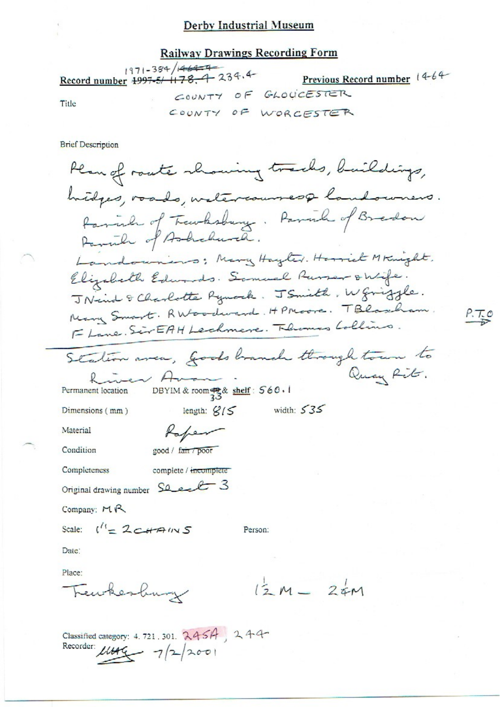#### **Railway Drawings Recording Form**

 $1971 - 384/14644$ Record number 1997-5/ 1178, 4 234.4 Previous Record number 14-64-COUNTY OF GLOUCESTER Title COUNTY OF WORCESTER **Brief Description** Plan of route showing tracks, buildings,

hidges, roads, welercourses& landowners. family of Transhowing. Parish of Bradon Panile of Ashchurch. Landowning; Many Hayter. Harriet Mknight. Elizabeth Edwards. Somuel Russer onlife. J Nind & Charlotte Rynock. J Smith, W griggle. Mary Smart. RWoodward. HPMoore. TBlascham. FLane. SirEAH Lechmere. Thermas Lollins. Station area, Goods branch through town to Quay Rit.

length:  $g/5$  width:  $535$ 

Person:

 $P.T.0$ 

incen Ama DBYIM & room as & shelf:  $560.1$ Permanent location

Dimensions (mm)

Material

Condition

good / fair / poor

Rapen

Completeness complete / incomplete Original drawing number See 23

Company: MR

Scale:  $\binom{11}{5}$  2 CHAINS

Date:

Place:

Teurhesburg

 $12M - 24M$ 

Classified category: 4.721.301. 2454, 244 Recorder:  $\mu_{000} = 7/2/2001$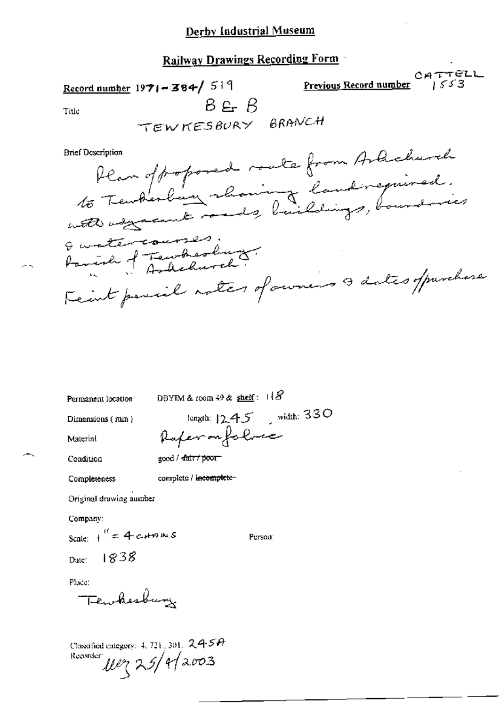Railway Drawings Recording Form

 $CHTTELL$ Record number  $1971 - 384 / 519$ Previous Record number  $B = R$ Title TEWKESBURY BRANCH Plan of popored route from Arlicharch **Brief Description** Quatercourses.<br>Parish of Fewherland. Feint poucil notes of owners & dates of purchase

Permanent location

DBYIM & room  $49$  & shelf:  $118$ 

Dimensions (mm)

length:  $12.45$  width: 330 Raferanfolve

Person:

Condition

Material

good / dair / poor-

complete / incomplete-

Completeness

Original drawing number

Company:

Scale:  $1^H = 4$  catains -1838 Date:

Place:

Tewkesburg

Classified category:  $4, 721, 301, 2457$ Recorder New 25/4/2003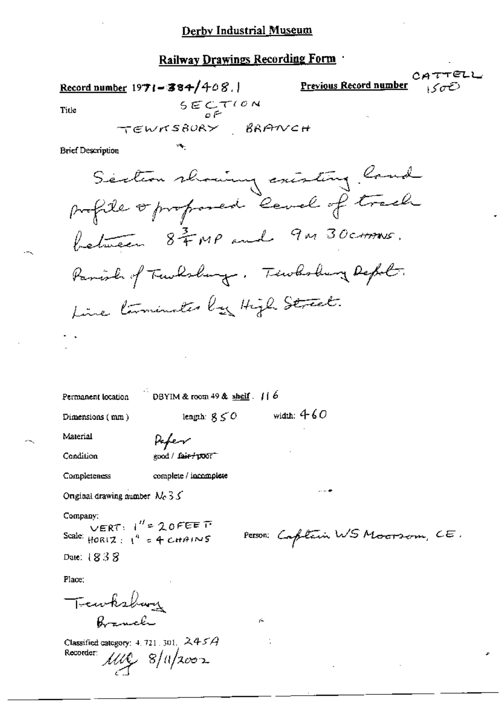## Railway Drawings Recording Form

Record number  $1971 - 384/408.$ 

Previous Record number

TELL

Title

 $SECTOON$ 

**Brief Description** 

Section showing existing land profile or proposed cevel of track between 8 = MP and 9M 30 ctms. Panish of Tawksburg. Tewksburg Depol. Line terminates by High Street.

DBYIM & room 49 & shelf  $\left| \right|$  6 Permanent location

Dimensions (mm)

length:  $g \le 0$  width: 4-60

Material Condition

Pefer good / fair+poor

Completeness

complete / incomplete

Original drawing number  $N_c \, 3 \, 5$ 

Company:

Scale:  $\text{HOR}(Z) = 1^H = 20 \text{ FEE} \text{ T}$ <br>Scale:  $\text{HOR}(Z) = 1^4 = 4 \text{ CHAINS}$ 

Date: 1838

Place:

Tewksbury Branch

Classified category:  $4.721.301.$   $245A$ Recorder:  $11\sqrt{2}8/11/2002$ 

Person: Captain WS Moorsom, CE.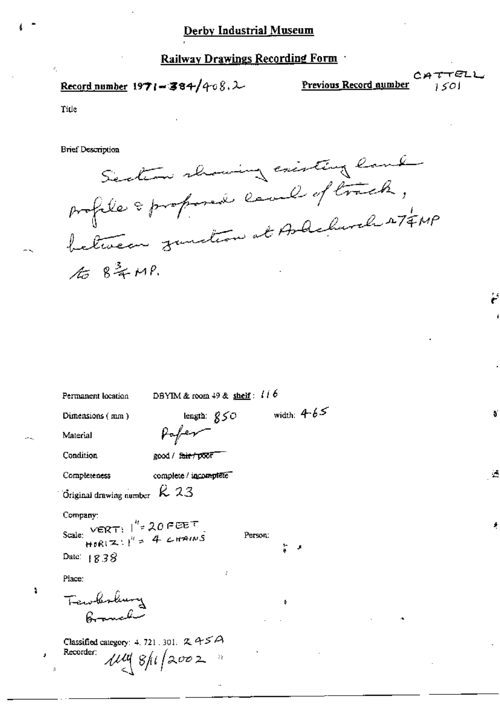### Railway Drawings Recording Form

Record number  $1971 - 384/408.2$ 

Previous Record number

CATTELL  $1501$ 

Title

J.

**Brief Description** 



| Permanent location                                                                                                              | DBYIM & room $49$ & shelf: $116$ |               |    |
|---------------------------------------------------------------------------------------------------------------------------------|----------------------------------|---------------|----|
| Dimensions (mm)                                                                                                                 | length: $g\leq O$                | width: $4-65$ | ð  |
| Material                                                                                                                        |                                  |               |    |
| Condition.                                                                                                                      | good / f <del>air/poo</del> f    |               |    |
| Completeness                                                                                                                    | complete / incomplete            |               | ÷. |
| Original drawing number $R$ 23                                                                                                  |                                  |               |    |
| Company:<br>Scale: VERT: $\int_{0}^{t} = 20 \text{ FEET}$<br>HORIZ: $\int_{0}^{t} = 4 \text{ cm}^2 \text{ m/s}$<br>Date: $1838$ | Person:                          | t.<br>J.      |    |
| Place:                                                                                                                          |                                  |               |    |
| Tewbolung                                                                                                                       |                                  | Þ<br>٠⊾       |    |
| Classified category: 4, 721, 301, $\propto$ 4 $\leq$ $\vartriangle$<br>Recorder:                                                | 114.8/11/2002                    |               |    |